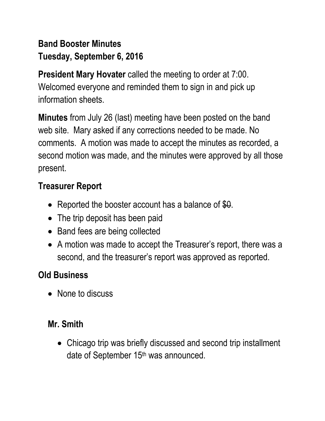# **Band Booster Minutes Tuesday, September 6, 2016**

**President Mary Hovater** called the meeting to order at 7:00. Welcomed everyone and reminded them to sign in and pick up information sheets.

**Minutes** from July 26 (last) meeting have been posted on the band web site. Mary asked if any corrections needed to be made. No comments. A motion was made to accept the minutes as recorded, a second motion was made, and the minutes were approved by all those present.

## **Treasurer Report**

- Reported the booster account has a balance of  $$0.$
- The trip deposit has been paid
- Band fees are being collected
- A motion was made to accept the Treasurer's report, there was a second, and the treasurer's report was approved as reported.

## **Old Business**

• None to discuss

### **Mr. Smith**

 Chicago trip was briefly discussed and second trip installment date of September 15<sup>th</sup> was announced.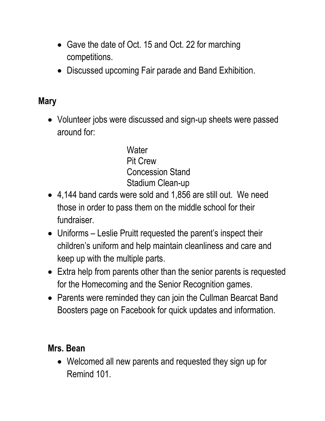- Gave the date of Oct. 15 and Oct. 22 for marching competitions.
- Discussed upcoming Fair parade and Band Exhibition.

#### **Mary**

• Volunteer jobs were discussed and sign-up sheets were passed around for:

> **Water** Pit Crew Concession Stand Stadium Clean-up

- 4,144 band cards were sold and 1,856 are still out. We need those in order to pass them on the middle school for their fundraiser.
- Uniforms Leslie Pruitt requested the parent's inspect their children's uniform and help maintain cleanliness and care and keep up with the multiple parts.
- Extra help from parents other than the senior parents is requested for the Homecoming and the Senior Recognition games.
- Parents were reminded they can join the Cullman Bearcat Band Boosters page on Facebook for quick updates and information.

### **Mrs. Bean**

 Welcomed all new parents and requested they sign up for Remind 101.